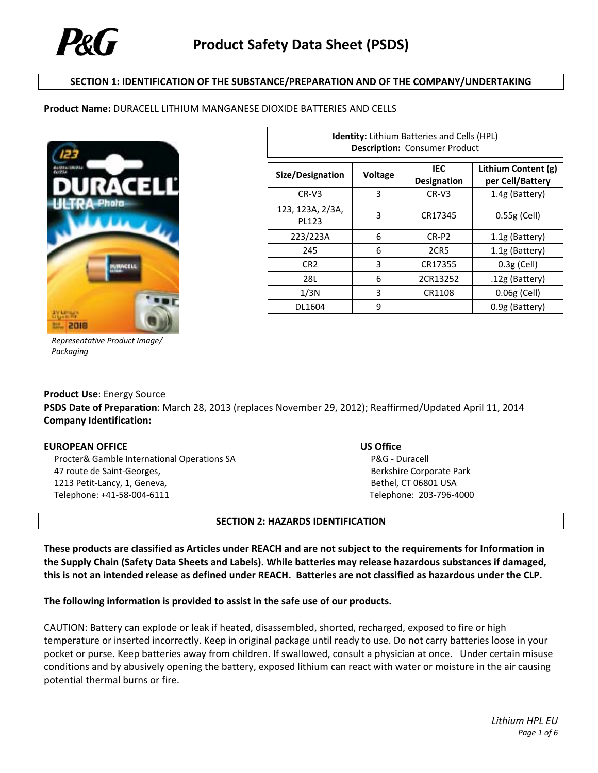

### **SECTION 1: IDENTIFICATION OF THE SUBSTANCE/PREPARATION AND OF THE COMPANY/UNDERTAKING**

#### **Product Name:** DURACELL LITHIUM MANGANESE DIOXIDE BATTERIES AND CELLS



| <b>Identity:</b> Lithium Batteries and Cells (HPL)<br><b>Description: Consumer Product</b> |         |                           |                                         |  |  |
|--------------------------------------------------------------------------------------------|---------|---------------------------|-----------------------------------------|--|--|
| Size/Designation                                                                           | Voltage | IEC<br><b>Designation</b> | Lithium Content (g)<br>per Cell/Battery |  |  |
| $CR-V3$                                                                                    | 3       | $CR-V3$                   | 1.4g (Battery)                          |  |  |
| 123, 123A, 2/3A,<br>PL123                                                                  | 3       | CR17345                   | $0.55g$ (Cell)                          |  |  |
| 223/223A                                                                                   | 6       | CR-P2                     | 1.1g (Battery)                          |  |  |
| 245                                                                                        | 6       | 2CR5                      | 1.1g (Battery)                          |  |  |
| CR <sub>2</sub>                                                                            | 3       | CR17355                   | $0.3g$ (Cell)                           |  |  |
| 28L                                                                                        | 6       | 2CR13252                  | .12g (Battery)                          |  |  |
| 1/3N                                                                                       | 3       | CR1108                    | $0.06g$ (Cell)                          |  |  |
| DL1604                                                                                     | 9       |                           | 0.9g (Battery)                          |  |  |

*Representative Product Image/ Packaging*

# **Product Use**: Energy Source **PSDS Date of Preparation**: March 28, 2013 (replaces November 29, 2012); Reaffirmed/Updated April 11, 2014 **Company Identification:**

#### **EUROPEAN OFFICE US Office**

 Procter& Gamble International Operations SA 47 route de Saint‐Georges, 1213 Petit‐Lancy, 1, Geneva, Telephone: +41‐58‐004‐6111

P&G ‐ Duracell Berkshire Corporate Park Bethel, CT 06801 USA Telephone: 203‐796‐4000

#### **SECTION 2: HAZARDS IDENTIFICATION**

These products are classified as Articles under REACH and are not subject to the requirements for Information in **the Supply Chain (Safety Data Sheets and Labels). While batteries may release hazardous substances if damaged,** this is not an intended release as defined under REACH. Batteries are not classified as hazardous under the CLP.

#### **The following information is provided to assist in the safe use of our products.**

CAUTION: Battery can explode or leak if heated, disassembled, shorted, recharged, exposed to fire or high temperature or inserted incorrectly. Keep in original package until ready to use. Do not carry batteries loose in your pocket or purse. Keep batteries away from children. If swallowed, consult a physician at once. Under certain misuse conditions and by abusively opening the battery, exposed lithium can react with water or moisture in the air causing potential thermal burns or fire.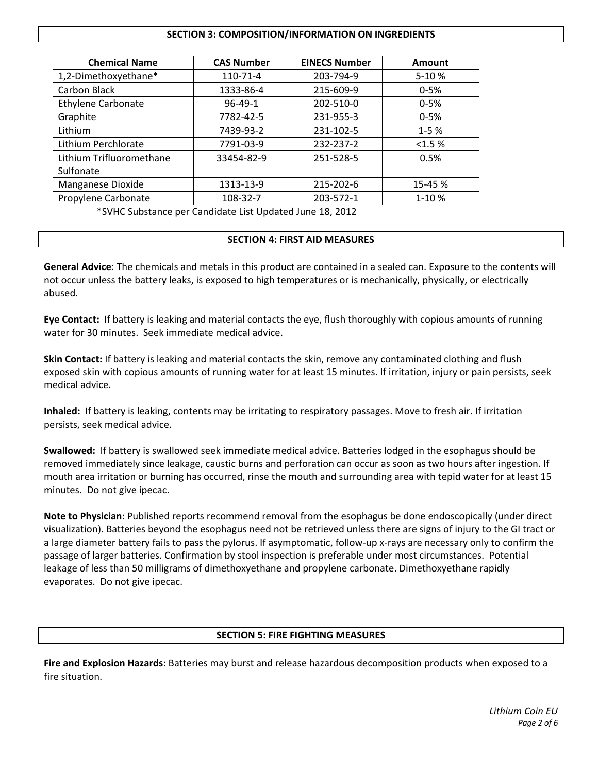### **SECTION 3: COMPOSITION/INFORMATION ON INGREDIENTS**

| <b>Chemical Name</b>      | <b>CAS Number</b> | <b>EINECS Number</b> | <b>Amount</b> |
|---------------------------|-------------------|----------------------|---------------|
| 1,2-Dimethoxyethane*      | 110-71-4          | 203-794-9            | 5-10%         |
| Carbon Black              | 1333-86-4         | 215-609-9            | $0 - 5%$      |
| <b>Ethylene Carbonate</b> | $96 - 49 - 1$     | 202-510-0            | $0 - 5%$      |
| Graphite                  | 7782-42-5         | 231-955-3            | $0 - 5%$      |
| Lithium                   | 7439-93-2         | 231-102-5            | $1 - 5%$      |
| Lithium Perchlorate       | 7791-03-9         | 232-237-2            | <1.5%         |
| Lithium Trifluoromethane  | 33454-82-9        | 251-528-5            | 0.5%          |
| Sulfonate                 |                   |                      |               |
| Manganese Dioxide         | 1313-13-9         | 215-202-6            | 15-45 %       |
| Propylene Carbonate       | 108-32-7          | 203-572-1            | 1-10%         |

\*SVHC Substance per Candidate List Updated June 18, 2012

# **SECTION 4: FIRST AID MEASURES**

**General Advice**: The chemicals and metals in this product are contained in a sealed can. Exposure to the contents will not occur unless the battery leaks, is exposed to high temperatures or is mechanically, physically, or electrically abused.

**Eye Contact:** If battery is leaking and material contacts the eye, flush thoroughly with copious amounts of running water for 30 minutes. Seek immediate medical advice.

**Skin Contact:** If battery is leaking and material contacts the skin, remove any contaminated clothing and flush exposed skin with copious amounts of running water for at least 15 minutes. If irritation, injury or pain persists, seek medical advice.

**Inhaled:** If battery is leaking, contents may be irritating to respiratory passages. Move to fresh air. If irritation persists, seek medical advice.

**Swallowed:** If battery is swallowed seek immediate medical advice. Batteries lodged in the esophagus should be removed immediately since leakage, caustic burns and perforation can occur as soon as two hours after ingestion. If mouth area irritation or burning has occurred, rinse the mouth and surrounding area with tepid water for at least 15 minutes. Do not give ipecac.

**Note to Physician**: Published reports recommend removal from the esophagus be done endoscopically (under direct visualization). Batteries beyond the esophagus need not be retrieved unless there are signs of injury to the GI tract or a large diameter battery fails to pass the pylorus. If asymptomatic, follow‐up x‐rays are necessary only to confirm the passage of larger batteries. Confirmation by stool inspection is preferable under most circumstances. Potential leakage of less than 50 milligrams of dimethoxyethane and propylene carbonate. Dimethoxyethane rapidly evaporates. Do not give ipecac.

# **SECTION 5: FIRE FIGHTING MEASURES**

**Fire and Explosion Hazards**: Batteries may burst and release hazardous decomposition products when exposed to a fire situation.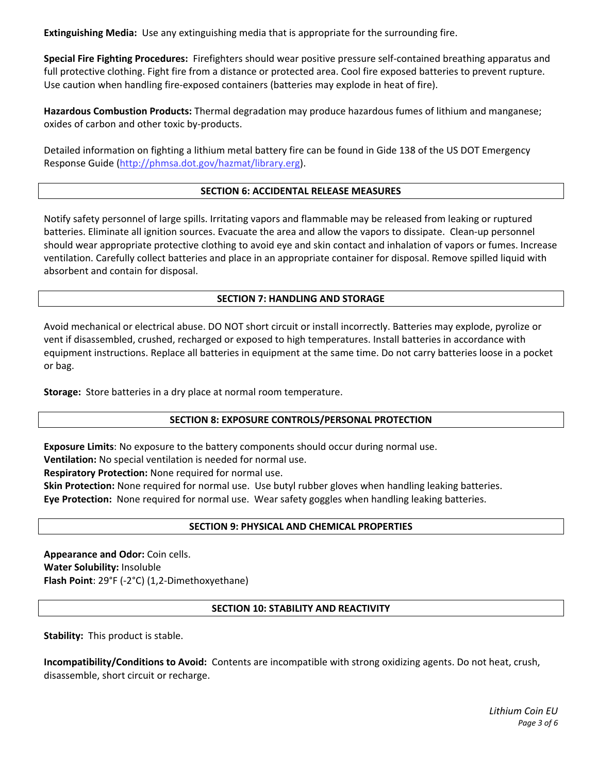**Extinguishing Media:** Use any extinguishing media that is appropriate for the surrounding fire.

**Special Fire Fighting Procedures:** Firefighters should wear positive pressure self‐contained breathing apparatus and full protective clothing. Fight fire from a distance or protected area. Cool fire exposed batteries to prevent rupture. Use caution when handling fire‐exposed containers (batteries may explode in heat of fire).

**Hazardous Combustion Products:** Thermal degradation may produce hazardous fumes of lithium and manganese; oxides of carbon and other toxic by‐products.

Detailed information on fighting a lithium metal battery fire can be found in Gide 138 of the US DOT Emergency Response Guide (http://phmsa.dot.gov/hazmat/library.erg).

# **SECTION 6: ACCIDENTAL RELEASE MEASURES**

Notify safety personnel of large spills. Irritating vapors and flammable may be released from leaking or ruptured batteries. Eliminate all ignition sources. Evacuate the area and allow the vapors to dissipate. Clean‐up personnel should wear appropriate protective clothing to avoid eye and skin contact and inhalation of vapors or fumes. Increase ventilation. Carefully collect batteries and place in an appropriate container for disposal. Remove spilled liquid with absorbent and contain for disposal.

### **SECTION 7: HANDLING AND STORAGE**

Avoid mechanical or electrical abuse. DO NOT short circuit or install incorrectly. Batteries may explode, pyrolize or vent if disassembled, crushed, recharged or exposed to high temperatures. Install batteries in accordance with equipment instructions. Replace all batteries in equipment at the same time. Do not carry batteries loose in a pocket or bag.

**Storage:** Store batteries in a dry place at normal room temperature.

# **SECTION 8: EXPOSURE CONTROLS/PERSONAL PROTECTION**

**Exposure Limits**: No exposure to the battery components should occur during normal use.

**Ventilation:** No special ventilation is needed for normal use.

**Respiratory Protection:** None required for normal use.

**Skin Protection:** None required for normal use. Use butyl rubber gloves when handling leaking batteries. **Eye Protection:** None required for normal use. Wear safety goggles when handling leaking batteries.

# **SECTION 9: PHYSICAL AND CHEMICAL PROPERTIES**

**Appearance and Odor:** Coin cells. **Water Solubility:** Insoluble **Flash Point**: 29°F (‐2°C) (1,2‐Dimethoxyethane)

#### **SECTION 10: STABILITY AND REACTIVITY**

**Stability:** This product is stable.

**Incompatibility/Conditions to Avoid:** Contents are incompatible with strong oxidizing agents. Do not heat, crush, disassemble, short circuit or recharge.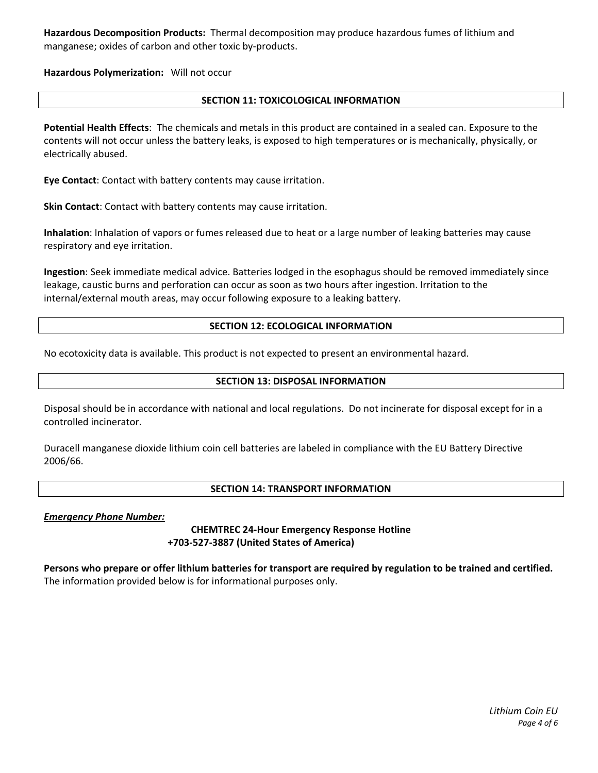**Hazardous Decomposition Products:** Thermal decomposition may produce hazardous fumes of lithium and manganese; oxides of carbon and other toxic by‐products.

**Hazardous Polymerization:** Will not occur

# **SECTION 11: TOXICOLOGICAL INFORMATION**

**Potential Health Effects**: The chemicals and metals in this product are contained in a sealed can. Exposure to the contents will not occur unless the battery leaks, is exposed to high temperatures or is mechanically, physically, or electrically abused.

**Eye Contact**: Contact with battery contents may cause irritation.

**Skin Contact**: Contact with battery contents may cause irritation.

**Inhalation**: Inhalation of vapors or fumes released due to heat or a large number of leaking batteries may cause respiratory and eye irritation.

**Ingestion**: Seek immediate medical advice. Batteries lodged in the esophagus should be removed immediately since leakage, caustic burns and perforation can occur as soon as two hours after ingestion. Irritation to the internal/external mouth areas, may occur following exposure to a leaking battery.

# **SECTION 12: ECOLOGICAL INFORMATION**

No ecotoxicity data is available. This product is not expected to present an environmental hazard.

# **SECTION 13: DISPOSAL INFORMATION**

Disposal should be in accordance with national and local regulations. Do not incinerate for disposal except for in a controlled incinerator.

Duracell manganese dioxide lithium coin cell batteries are labeled in compliance with the EU Battery Directive 2006/66.

# **SECTION 14: TRANSPORT INFORMATION**

*Emergency Phone Number:* 

**CHEMTREC 24‐Hour Emergency Response Hotline +703‐527‐3887 (United States of America)**

Persons who prepare or offer lithium batteries for transport are required by regulation to be trained and certified. The information provided below is for informational purposes only.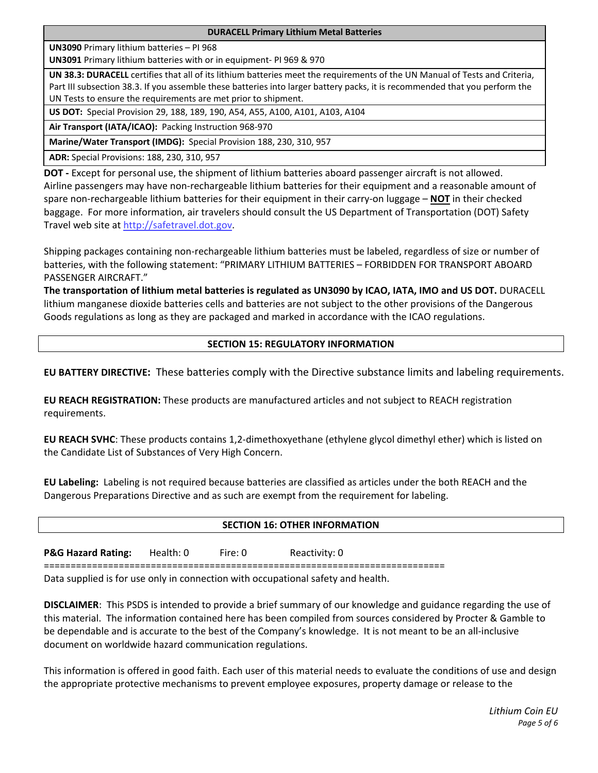**DURACELL Primary Lithium Metal Batteries**

**UN3090** Primary lithium batteries – PI 968

**UN3091** Primary lithium batteries with or in equipment‐ PI 969 & 970

**UN 38.3: DURACELL** certifies that all of its lithium batteries meet the requirements of the UN Manual of Tests and Criteria, Part III subsection 38.3. If you assemble these batteries into larger battery packs, it is recommended that you perform the UN Tests to ensure the requirements are met prior to shipment.

**US DOT:** Special Provision 29, 188, 189, 190, A54, A55, A100, A101, A103, A104

**Air Transport (IATA/ICAO):** Packing Instruction 968‐970

**Marine/Water Transport (IMDG):** Special Provision 188, 230, 310, 957

**ADR:** Special Provisions: 188, 230, 310, 957

**DOT ‐** Except for personal use, the shipment of lithium batteries aboard passenger aircraft is not allowed. Airline passengers may have non‐rechargeable lithium batteries for their equipment and a reasonable amount of spare non‐rechargeable lithium batteries for their equipment in their carry‐on luggage – **NOT** in their checked baggage. For more information, air travelers should consult the US Department of Transportation (DOT) Safety Travel web site at http://safetravel.dot.gov.

Shipping packages containing non‐rechargeable lithium batteries must be labeled, regardless of size or number of batteries, with the following statement: "PRIMARY LITHIUM BATTERIES – FORBIDDEN FOR TRANSPORT ABOARD PASSENGER AIRCRAFT."

The transportation of lithium metal batteries is regulated as UN3090 by ICAO, IATA, IMO and US DOT. DURACELL lithium manganese dioxide batteries cells and batteries are not subject to the other provisions of the Dangerous Goods regulations as long as they are packaged and marked in accordance with the ICAO regulations.

# **SECTION 15: REGULATORY INFORMATION**

**EU BATTERY DIRECTIVE:** These batteries comply with the Directive substance limits and labeling requirements.

**EU REACH REGISTRATION:** These products are manufactured articles and not subject to REACH registration requirements.

**EU REACH SVHC**: These products contains 1,2‐dimethoxyethane (ethylene glycol dimethyl ether) which is listed on the Candidate List of Substances of Very High Concern.

**EU Labeling:** Labeling is not required because batteries are classified as articles under the both REACH and the Dangerous Preparations Directive and as such are exempt from the requirement for labeling.

# **SECTION 16: OTHER INFORMATION**

**P&G Hazard Rating:** Health: 0 Fire: 0 Reactivity: 0

===========================================================================

Data supplied is for use only in connection with occupational safety and health.

**DISCLAIMER**: This PSDS is intended to provide a brief summary of our knowledge and guidance regarding the use of this material. The information contained here has been compiled from sources considered by Procter & Gamble to be dependable and is accurate to the best of the Company's knowledge. It is not meant to be an all‐inclusive document on worldwide hazard communication regulations.

This information is offered in good faith. Each user of this material needs to evaluate the conditions of use and design the appropriate protective mechanisms to prevent employee exposures, property damage or release to the